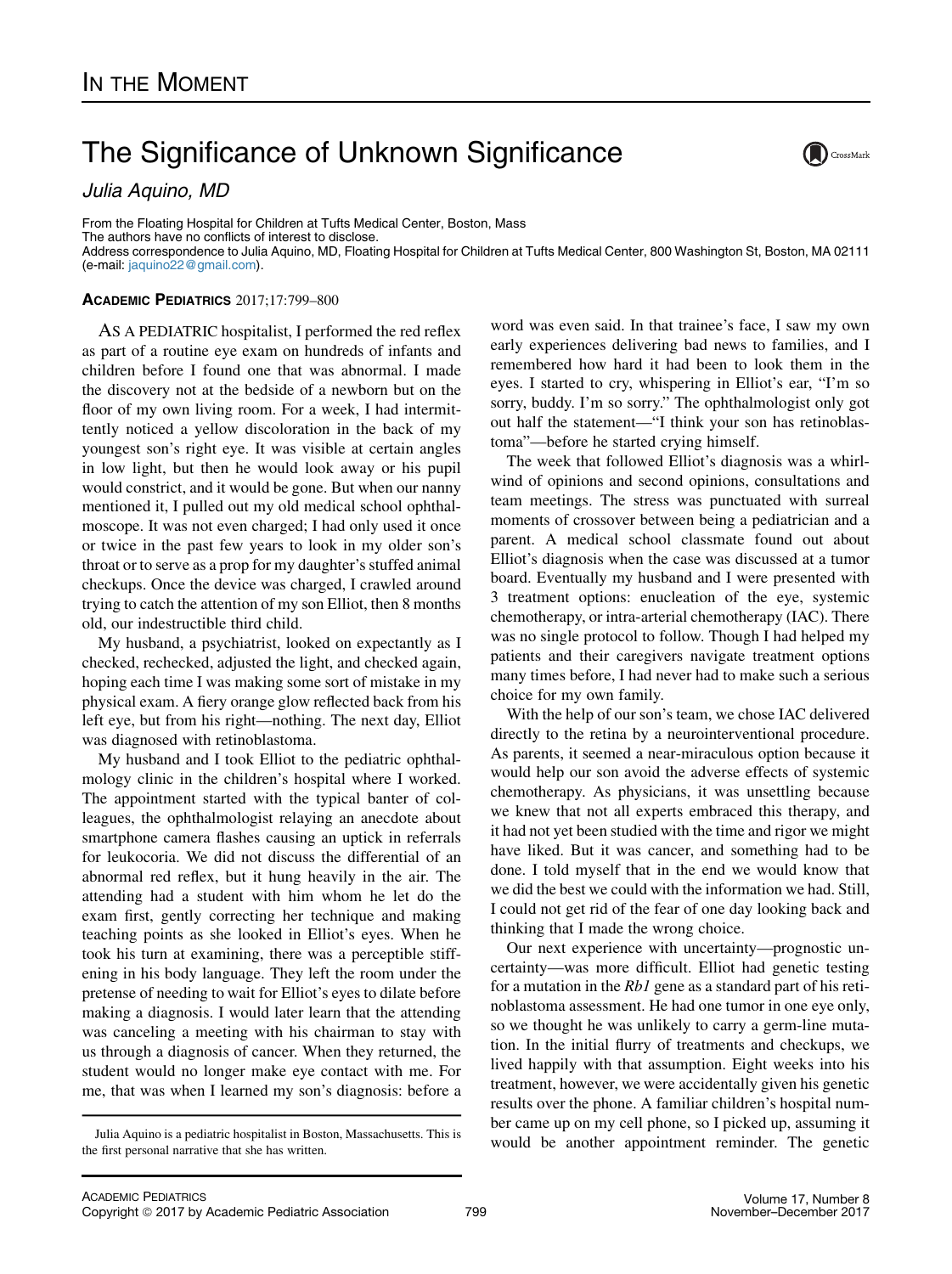## The Significance of Unknown Significance

Julia Aquino, MD

From the Floating Hospital for Children at Tufts Medical Center, Boston, Mass The authors have no conflicts of interest to disclose. Address correspondence to Julia Aquino, MD, Floating Hospital for Children at Tufts Medical Center, 800 Washington St, Boston, MA 02111 (e-mail: [jaquino22@gmail.com](mailto:jaquino22gmailcom)).

## ACADEMIC PEDIATRICS 2017;17:799–800

AS A PEDIATRIC hospitalist, I performed the red reflex as part of a routine eye exam on hundreds of infants and children before I found one that was abnormal. I made the discovery not at the bedside of a newborn but on the floor of my own living room. For a week, I had intermittently noticed a yellow discoloration in the back of my youngest son's right eye. It was visible at certain angles in low light, but then he would look away or his pupil would constrict, and it would be gone. But when our nanny mentioned it, I pulled out my old medical school ophthalmoscope. It was not even charged; I had only used it once or twice in the past few years to look in my older son's throat or to serve as a prop for my daughter's stuffed animal checkups. Once the device was charged, I crawled around trying to catch the attention of my son Elliot, then 8 months old, our indestructible third child.

My husband, a psychiatrist, looked on expectantly as I checked, rechecked, adjusted the light, and checked again, hoping each time I was making some sort of mistake in my physical exam. A fiery orange glow reflected back from his left eye, but from his right—nothing. The next day, Elliot was diagnosed with retinoblastoma.

My husband and I took Elliot to the pediatric ophthalmology clinic in the children's hospital where I worked. The appointment started with the typical banter of colleagues, the ophthalmologist relaying an anecdote about smartphone camera flashes causing an uptick in referrals for leukocoria. We did not discuss the differential of an abnormal red reflex, but it hung heavily in the air. The attending had a student with him whom he let do the exam first, gently correcting her technique and making teaching points as she looked in Elliot's eyes. When he took his turn at examining, there was a perceptible stiffening in his body language. They left the room under the pretense of needing to wait for Elliot's eyes to dilate before making a diagnosis. I would later learn that the attending was canceling a meeting with his chairman to stay with us through a diagnosis of cancer. When they returned, the student would no longer make eye contact with me. For me, that was when I learned my son's diagnosis: before a

word was even said. In that trainee's face, I saw my own early experiences delivering bad news to families, and I remembered how hard it had been to look them in the eyes. I started to cry, whispering in Elliot's ear, "I'm so sorry, buddy. I'm so sorry." The ophthalmologist only got out half the statement—"I think your son has retinoblastoma"—before he started crying himself.

The week that followed Elliot's diagnosis was a whirlwind of opinions and second opinions, consultations and team meetings. The stress was punctuated with surreal moments of crossover between being a pediatrician and a parent. A medical school classmate found out about Elliot's diagnosis when the case was discussed at a tumor board. Eventually my husband and I were presented with 3 treatment options: enucleation of the eye, systemic chemotherapy, or intra-arterial chemotherapy (IAC). There was no single protocol to follow. Though I had helped my patients and their caregivers navigate treatment options many times before, I had never had to make such a serious choice for my own family.

With the help of our son's team, we chose IAC delivered directly to the retina by a neurointerventional procedure. As parents, it seemed a near-miraculous option because it would help our son avoid the adverse effects of systemic chemotherapy. As physicians, it was unsettling because we knew that not all experts embraced this therapy, and it had not yet been studied with the time and rigor we might have liked. But it was cancer, and something had to be done. I told myself that in the end we would know that we did the best we could with the information we had. Still, I could not get rid of the fear of one day looking back and thinking that I made the wrong choice.

Our next experience with uncertainty—prognostic uncertainty—was more difficult. Elliot had genetic testing for a mutation in the  $Rb1$  gene as a standard part of his retinoblastoma assessment. He had one tumor in one eye only, so we thought he was unlikely to carry a germ-line mutation. In the initial flurry of treatments and checkups, we lived happily with that assumption. Eight weeks into his treatment, however, we were accidentally given his genetic results over the phone. A familiar children's hospital number came up on my cell phone, so I picked up, assuming it Julia Aquino is a pediatric hospitalist in Boston, Massachusetts. This is would be another appointment reminder. The genetic



the first personal narrative that she has written.